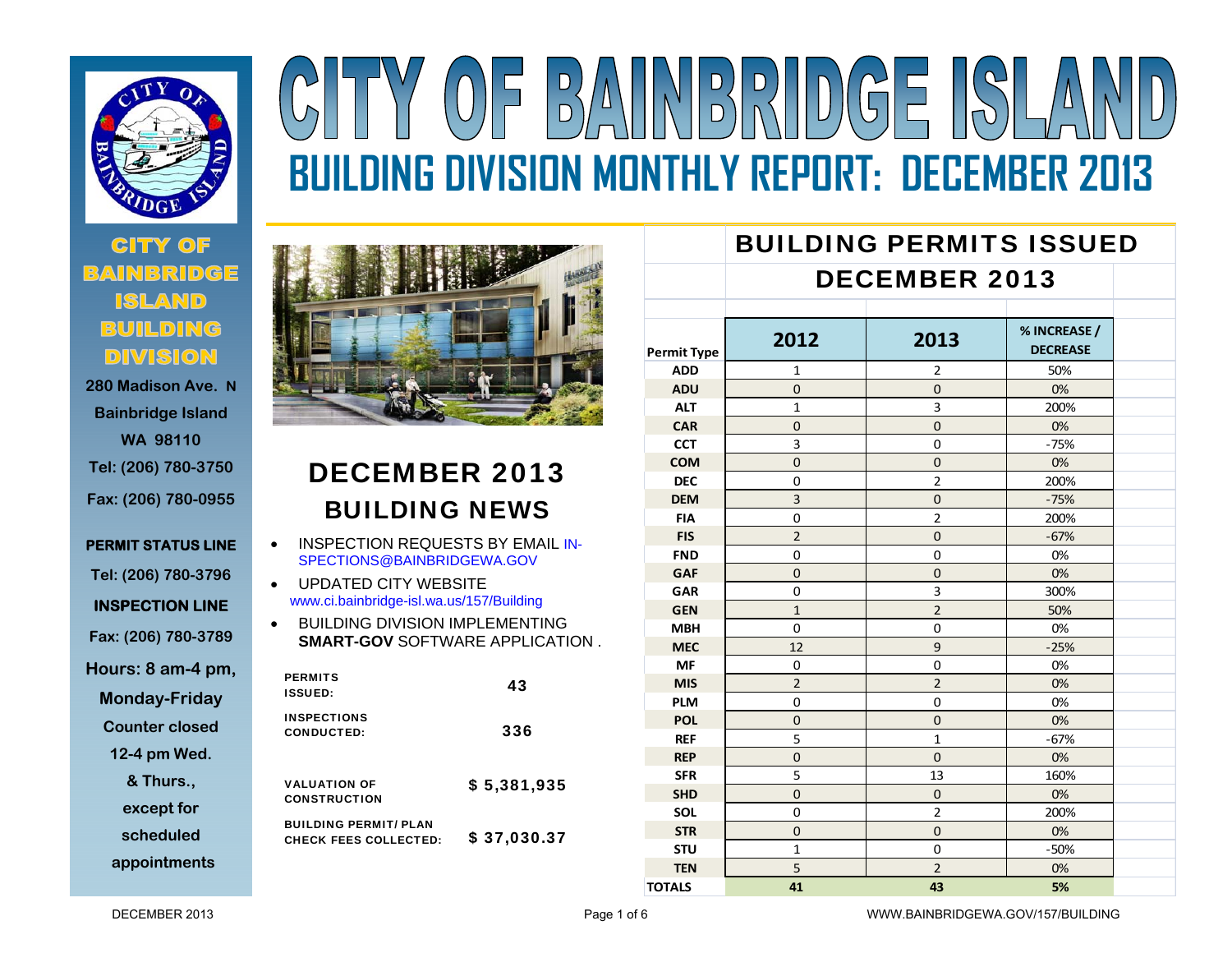

# **280 Madison Ave. N**

**Bainbridge Island WA 98110 Tel: (206) 780-3750 Fax: (206) 780-0955** 

**PERMIT STATUS LINE Tel: (206) 780-3796 INSPECTION LINE Fax: (206) 780-3789 Hours: 8 am-4 pm, Monday-Friday** 

**Counter closed** 

**12-4 pm Wed.** 

**& Thurs.,** 

**except for** 

**scheduled** 

**appointments**



 $\begin{array}{c}\nD \\
D\n\end{array}$ 

# DECEMBER 2013 BUILDING NEWS

- $\bullet$  INSPECTION REQUESTS BY EMAIL IN-SPECTIONS@BAINBRIDGEWA.GOV
- $\bullet$  UPDATED CITY WEBSITE www.ci.bainbridge-isl.wa.us/157/Building
- $\bullet$  BUILDING DIVISION IMPLEMENTING **SMART-GOV** SOFTWARE APPLICATION .

| <b>PERMITS</b><br><b>ISSUED:</b>                             | 43          |
|--------------------------------------------------------------|-------------|
| <b>INSPECTIONS</b><br>CONDUCTED:                             | 336         |
| <b>VALUATION OF</b><br><b>CONSTRUCTION</b>                   | \$5,381,935 |
| <b>BUILDING PERMIT/ PLAN</b><br><b>CHECK FEES COLLECTED:</b> | \$37,030.37 |

|                    | <b>BUILDING PERMITS ISSUED</b> |                      |                                 |  |  |  |
|--------------------|--------------------------------|----------------------|---------------------------------|--|--|--|
|                    |                                | <b>DECEMBER 2013</b> |                                 |  |  |  |
|                    |                                |                      |                                 |  |  |  |
| <b>Permit Type</b> | 2012                           | 2013                 | % INCREASE /<br><b>DECREASE</b> |  |  |  |
| <b>ADD</b>         | 1                              | $\overline{2}$       | 50%                             |  |  |  |
| <b>ADU</b>         | $\Omega$                       | $\mathbf{0}$         | 0%                              |  |  |  |
| <b>ALT</b>         | $\mathbf{1}$                   | 3                    | 200%                            |  |  |  |
| <b>CAR</b>         | $\overline{0}$                 | $\overline{0}$       | 0%                              |  |  |  |
| <b>CCT</b>         | 3                              | $\mathbf 0$          | $-75%$                          |  |  |  |
| <b>COM</b>         | $\Omega$                       | $\overline{0}$       | 0%                              |  |  |  |
| <b>DEC</b>         | $\mathbf 0$                    | $\overline{2}$       | 200%                            |  |  |  |
| <b>DEM</b>         | $\overline{3}$                 | $\overline{0}$       | $-75%$                          |  |  |  |
| <b>FIA</b>         | 0                              | $\overline{2}$       | 200%                            |  |  |  |
| <b>FIS</b>         | $\overline{2}$                 | $\overline{0}$       | $-67%$                          |  |  |  |
| <b>FND</b>         | $\Omega$                       | $\overline{0}$       | 0%                              |  |  |  |
| <b>GAF</b>         | $\Omega$                       | $\Omega$             | 0%                              |  |  |  |
| GAR                | 0                              | 3                    | 300%                            |  |  |  |
| <b>GEN</b>         | $\mathbf{1}$                   | $\overline{2}$       | 50%                             |  |  |  |
| <b>MBH</b>         | $\mathbf 0$                    | 0                    | 0%                              |  |  |  |
| <b>MEC</b>         | 12                             | 9                    | $-25%$                          |  |  |  |
| <b>MF</b>          | 0                              | $\mathbf 0$          | 0%                              |  |  |  |
| <b>MIS</b>         | $\overline{2}$                 | $\overline{2}$       | 0%                              |  |  |  |
| <b>PLM</b>         | 0                              | 0                    | 0%                              |  |  |  |
| <b>POL</b>         | 0                              | 0                    | 0%                              |  |  |  |
| <b>REF</b>         | 5                              | $\mathbf{1}$         | $-67%$                          |  |  |  |
| <b>REP</b>         | $\mathbf{0}$                   | $\mathbf{0}$         | 0%                              |  |  |  |
| <b>SFR</b>         | 5                              | 13                   | 160%                            |  |  |  |
| <b>SHD</b>         | $\overline{0}$                 | $\mathbf{0}$         | 0%                              |  |  |  |
| <b>SOL</b>         | 0                              | $\overline{2}$       | 200%                            |  |  |  |
| <b>STR</b>         | $\mathbf{0}$                   | $\overline{0}$       | 0%                              |  |  |  |
| <b>STU</b>         | $\mathbf{1}$                   | 0                    | $-50%$                          |  |  |  |
| <b>TEN</b>         | 5                              | $\overline{2}$       | 0%                              |  |  |  |
| <b>TOTALS</b>      | 41                             | 43                   | 5%                              |  |  |  |

DECEMBER 2013

**BUILDING DIVISION MONTHLY REPORT: DECEMBER 2013** 

 $\left|\left|\left|\left|\frac{D}{D}\right|\right|\right|\right|$ 

 $\sqrt{5}$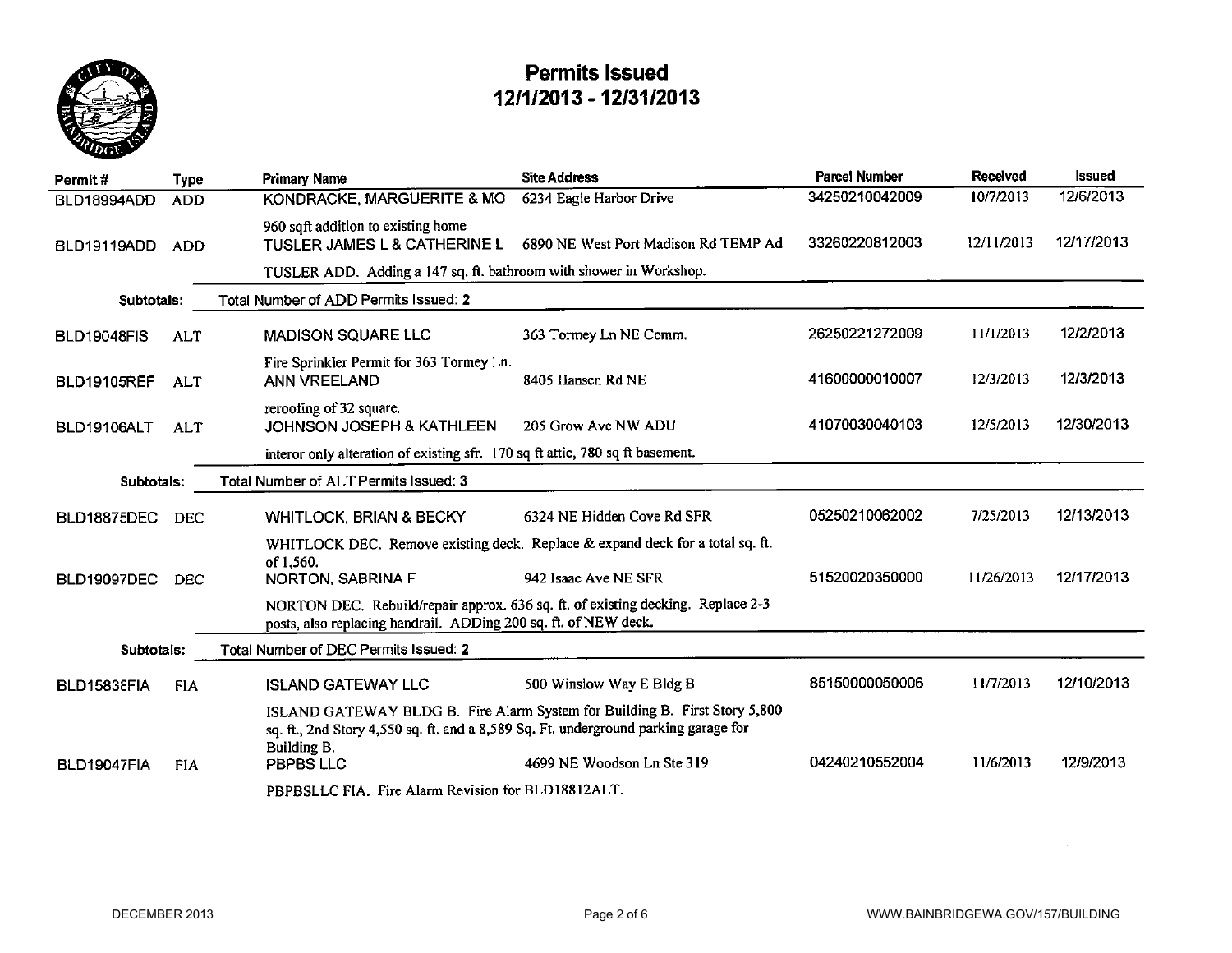

| Permit#            | <b>Type</b> | <b>Primary Name</b>                                                                                                                                                              | <b>Site Address</b>                  | <b>Parcel Number</b> | <b>Received</b> | <b>Issued</b> |
|--------------------|-------------|----------------------------------------------------------------------------------------------------------------------------------------------------------------------------------|--------------------------------------|----------------------|-----------------|---------------|
| BLD18994ADD        | <b>ADD</b>  | KONDRACKE, MARGUERITE & MO                                                                                                                                                       | 6234 Eagle Harbor Drive              | 34250210042009       | 10/7/2013       | 12/6/2013     |
| BLD19119ADD        | <b>ADD</b>  | 960 sqft addition to existing home<br>TUSLER JAMES L & CATHERINE L                                                                                                               | 6890 NE West Port Madison Rd TEMP Ad | 33260220812003       | 12/11/2013      | 12/17/2013    |
|                    |             | TUSLER ADD. Adding a 147 sq. ft. bathroom with shower in Workshop.                                                                                                               |                                      |                      |                 |               |
| Subtotals:         |             | Total Number of ADD Permits Issued: 2                                                                                                                                            |                                      |                      |                 |               |
| <b>BLD19048FIS</b> | ALT         | <b>MADISON SQUARE LLC</b>                                                                                                                                                        | 363 Tormey Ln NE Comm.               | 26250221272009       | 11/1/2013       | 12/2/2013     |
| <b>BLD19105REF</b> | <b>ALT</b>  | Fire Sprinkler Permit for 363 Tormey Ln.<br>ANN VREELAND                                                                                                                         | 8405 Hansen Rd NE                    | 41600000010007       | 12/3/2013       | 12/3/2013     |
| BLD19106ALT        | <b>ALT</b>  | reroofing of 32 square.<br><b>JOHNSON JOSEPH &amp; KATHLEEN</b>                                                                                                                  | 205 Grow Ave NW ADU                  | 41070030040103       | 12/5/2013       | 12/30/2013    |
|                    |             | interor only alteration of existing sfr. 170 sq ft attic, 780 sq ft basement.                                                                                                    |                                      |                      |                 |               |
| Subtotals:         |             | Total Number of ALT Permits Issued: 3                                                                                                                                            |                                      |                      |                 |               |
| BLD18875DEC        | <b>DEC</b>  | <b>WHITLOCK, BRIAN &amp; BECKY</b>                                                                                                                                               | 6324 NE Hidden Cove Rd SFR           | 05250210062002       | 7/25/2013       | 12/13/2013    |
|                    |             | WHITLOCK DEC. Remove existing deck. Replace & expand deck for a total sq. ft.                                                                                                    |                                      |                      |                 |               |
| <b>BLD19097DEC</b> | <b>DEC</b>  | of 1,560.<br>NORTON, SABRINA F                                                                                                                                                   | 942 Isaac Ave NE SFR                 | 51520020350000       | 11/26/2013      | 12/17/2013    |
|                    |             | NORTON DEC. Rebuild/repair approx. 636 sq. ft. of existing decking. Replace 2-3<br>posts, also replacing handrail. ADDing 200 sq. ft. of NEW deck.                               |                                      |                      |                 |               |
| Subtotals:         |             | Total Number of DEC Permits Issued: 2                                                                                                                                            |                                      |                      |                 |               |
| BLD15838FIA        | <b>FIA</b>  | <b>ISLAND GATEWAY LLC</b>                                                                                                                                                        | 500 Winslow Way E Bldg B             | 85150000050006       | 11/7/2013       | 12/10/2013    |
|                    |             | ISLAND GATEWAY BLDG B. Fire Alarm System for Building B. First Story 5,800<br>sq. ft., 2nd Story 4,550 sq. ft. and a 8,589 Sq. Ft. underground parking garage for<br>Building B. |                                      |                      |                 |               |
| BLD19047FIA        | <b>FIA</b>  | PBPBS LLC                                                                                                                                                                        | 4699 NE Woodson Ln Ste 319           | 04240210552004       | 11/6/2013       | 12/9/2013     |
|                    |             | PBPBSLLC FIA. Fire Alarm Revision for BLD18812ALT.                                                                                                                               |                                      |                      |                 |               |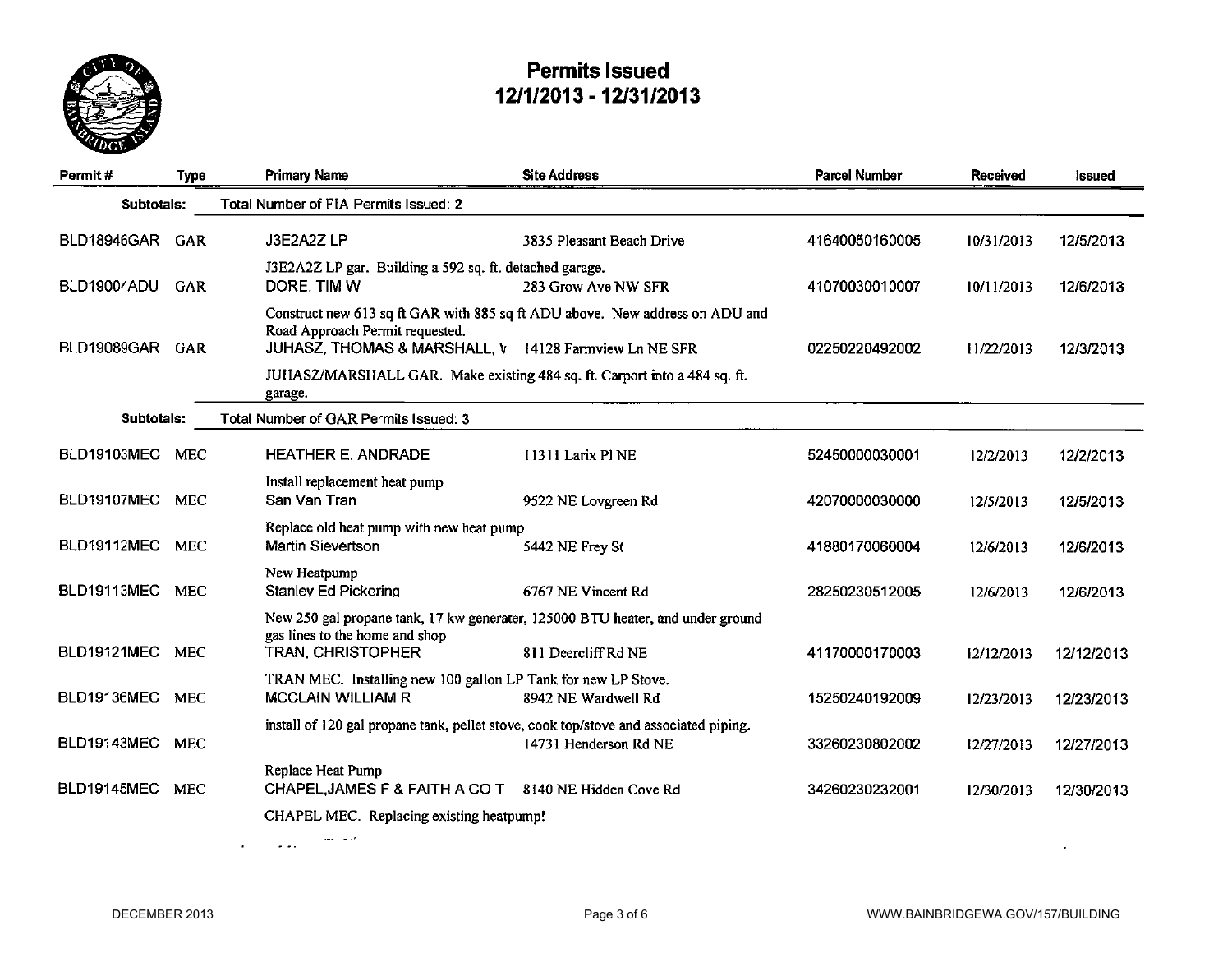

| Permit#            | <b>Type</b> | <b>Primary Name</b>                                                                       | <b>Site Address</b>                                                          | <b>Parcel Number</b> | <b>Received</b> | <b>Issued</b> |
|--------------------|-------------|-------------------------------------------------------------------------------------------|------------------------------------------------------------------------------|----------------------|-----------------|---------------|
| Subtotals:         |             | Total Number of FIA Permits Issued: 2                                                     |                                                                              |                      |                 |               |
| BLD18946GAR GAR    |             | J3E2A2ZLP                                                                                 | 3835 Pleasant Beach Drive                                                    | 41640050160005       | 10/31/2013      | 12/5/2013     |
| BLD19004ADU        | GAR         | J3E2A2Z LP gar. Building a 592 sq. ft. detached garage.<br>DORE, TIM W                    | 283 Grow Ave NW SFR                                                          | 41070030010007       | 10/11/2013      | 12/6/2013     |
| BLD19089GAR GAR    |             | Road Approach Permit requested.<br>JUHASZ, THOMAS & MARSHALL, V 14128 Farmview Ln NE SFR  | Construct new 613 sq ft GAR with 885 sq ft ADU above. New address on ADU and | 02250220492002       | 11/22/2013      | 12/3/2013     |
|                    |             | JUHASZ/MARSHALL GAR. Make existing 484 sq. ft. Carport into a 484 sq. ft.<br>garage.      |                                                                              |                      |                 |               |
| Subtotals:         |             | Total Number of GAR Permits Issued: 3                                                     |                                                                              |                      |                 |               |
| <b>BLD19103MEC</b> | <b>MEC</b>  | <b>HEATHER E. ANDRADE</b>                                                                 | 11311 Larix Pl NE                                                            | 52450000030001       | 12/2/2013       | 12/2/2013     |
| BLD19107MEC MEC    |             | Install replacement heat pump<br>San Van Tran                                             | 9522 NE Lovgreen Rd                                                          | 42070000030000       | 12/5/2013       | 12/5/2013     |
| BLD19112MEC MEC    |             | Replace old heat pump with new heat pump<br>Martin Sievertson                             | 5442 NE Frey St                                                              | 41880170060004       | 12/6/2013       | 12/6/2013     |
| BLD19113MEC        | <b>MEC</b>  | New Heatpump<br><b>Stanley Ed Pickering</b>                                               | 6767 NE Vincent Rd                                                           | 28250230512005       | 12/6/2013       | 12/6/2013     |
|                    |             | New 250 gal propane tank, 17 kw generater, 125000 BTU heater, and under ground            |                                                                              |                      |                 |               |
| <b>BLD19121MEC</b> | <b>MEC</b>  | gas lines to the home and shop<br><b>TRAN, CHRISTOPHER</b>                                | 811 Deercliff Rd NE                                                          | 41170000170003       | 12/12/2013      | 12/12/2013    |
| BLD19136MEC        | <b>MEC</b>  | TRAN MEC. Installing new 100 gallon LP Tank for new LP Stove.<br><b>MCCLAIN WILLIAM R</b> | 8942 NE Wardwell Rd                                                          | 15250240192009       | 12/23/2013      | 12/23/2013    |
| BLD19143MEC        | <b>MEC</b>  | install of 120 gal propane tank, pellet stove, cook top/stove and associated piping.      | 14731 Henderson Rd NE                                                        | 33260230802002       | 12/27/2013      | 12/27/2013    |
| <b>BLD19145MEC</b> | <b>MEC</b>  | Replace Heat Pump<br>CHAPEL, JAMES F & FAITH A CO T 8140 NE Hidden Cove Rd                |                                                                              | 34260230232001       | 12/30/2013      | 12/30/2013    |
|                    |             | CHAPEL MEC. Replacing existing heatpump!                                                  |                                                                              |                      |                 |               |
|                    |             |                                                                                           |                                                                              |                      |                 |               |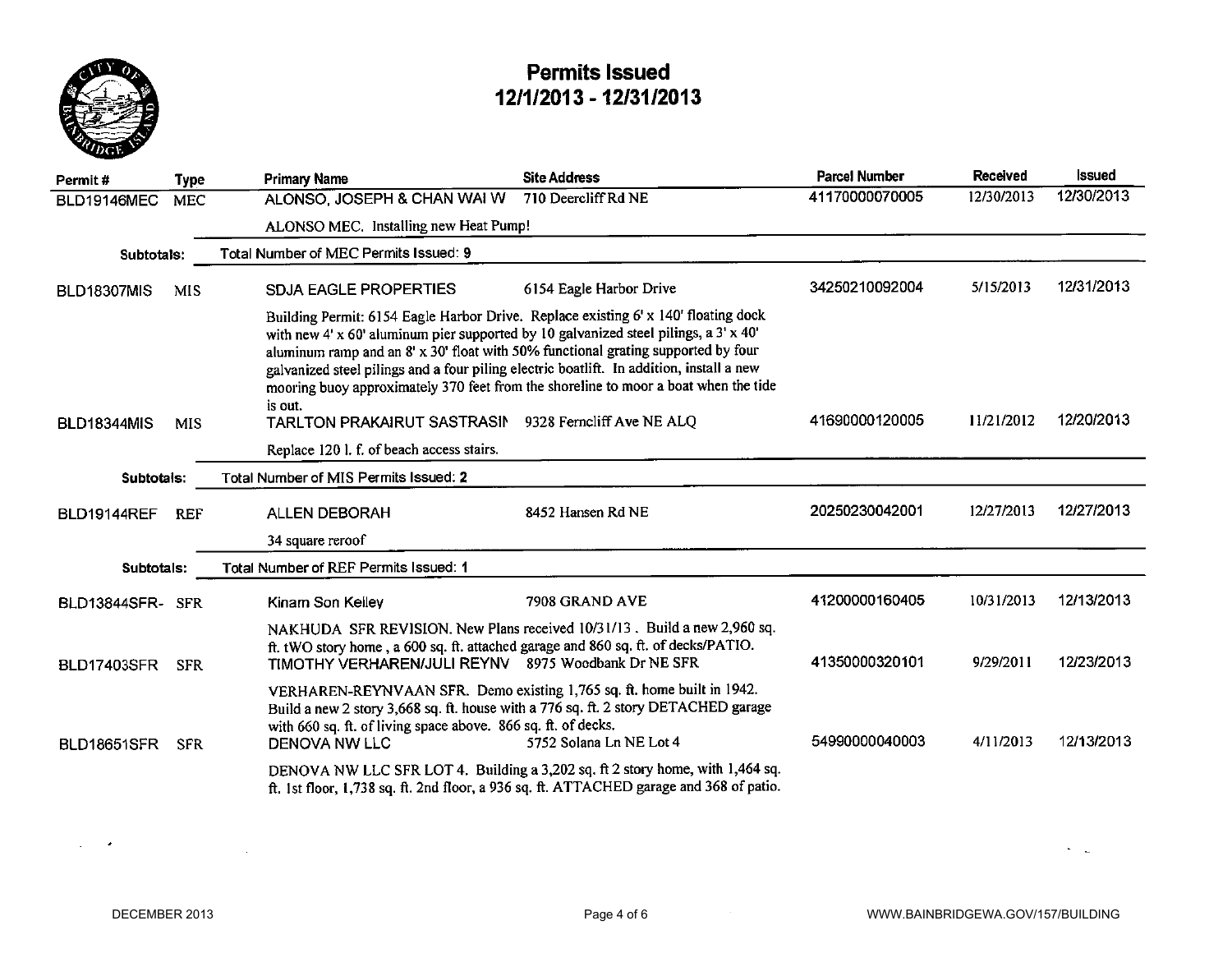

| Permit#            | Type       | <b>Primary Name</b>                                                                                                                                                                                                                                                                | <b>Site Address</b>                                                                                                                                                       | <b>Parcel Number</b> | Received   | Issued     |
|--------------------|------------|------------------------------------------------------------------------------------------------------------------------------------------------------------------------------------------------------------------------------------------------------------------------------------|---------------------------------------------------------------------------------------------------------------------------------------------------------------------------|----------------------|------------|------------|
| BLD19146MEC        | <b>MEC</b> | ALONSO, JOSEPH & CHAN WAI W                                                                                                                                                                                                                                                        | 710 Deercliff Rd NE                                                                                                                                                       | 41170000070005       | 12/30/2013 | 12/30/2013 |
|                    |            | ALONSO MEC. Installing new Heat Pump!                                                                                                                                                                                                                                              |                                                                                                                                                                           |                      |            |            |
| Subtotals:         |            | Total Number of MEC Permits Issued: 9                                                                                                                                                                                                                                              |                                                                                                                                                                           |                      |            |            |
| <b>BLD18307MIS</b> | <b>MIS</b> | <b>SDJA EAGLE PROPERTIES</b>                                                                                                                                                                                                                                                       | 6154 Eagle Harbor Drive                                                                                                                                                   | 34250210092004       | 5/15/2013  | 12/31/2013 |
|                    |            | with new 4' x 60' aluminum pier supported by 10 galvanized steel pilings, a $3'$ x 40'<br>aluminum ramp and an 8' x 30' float with 50% functional grating supported by four<br>galvanized steel pilings and a four piling electric boatlift. In addition, install a new<br>is out. | Building Permit: 6154 Eagle Harbor Drive. Replace existing 6' x 140' floating dock<br>mooring buoy approximately 370 feet from the shoreline to moor a boat when the tide |                      |            |            |
| <b>BLD18344MIS</b> | <b>MIS</b> | TARLTON PRAKAIRUT SASTRASIN                                                                                                                                                                                                                                                        | 9328 Ferncliff Ave NE ALQ                                                                                                                                                 | 41690000120005       | 11/21/2012 | 12/20/2013 |
|                    |            | Replace 120 l. f. of beach access stairs.                                                                                                                                                                                                                                          |                                                                                                                                                                           |                      |            |            |
| Subtotals:         |            | Total Number of MIS Permits Issued: 2                                                                                                                                                                                                                                              |                                                                                                                                                                           |                      |            |            |
| <b>BLD19144REF</b> | <b>REF</b> | <b>ALLEN DEBORAH</b>                                                                                                                                                                                                                                                               | 8452 Hansen Rd NE                                                                                                                                                         | 20250230042001       | 12/27/2013 | 12/27/2013 |
|                    |            | 34 square reroof                                                                                                                                                                                                                                                                   |                                                                                                                                                                           |                      |            |            |
| Subtotals:         |            | Total Number of REF Permits Issued: 1                                                                                                                                                                                                                                              |                                                                                                                                                                           |                      |            |            |
| BLD13844SFR-SFR    |            | Kinam Son Kelley                                                                                                                                                                                                                                                                   | 7908 GRAND AVE                                                                                                                                                            | 41200000160405       | 10/31/2013 | 12/13/2013 |
| <b>BLD17403SFR</b> | <b>SFR</b> | ft. tWO story home, a 600 sq. ft. attached garage and 860 sq. ft. of decks/PATIO.<br>TIMOTHY VERHAREN/JULI REYNV 8975 Woodbank Dr NE SFR                                                                                                                                           | NAKHUDA SFR REVISION. New Plans received 10/31/13. Build a new 2,960 sq.                                                                                                  | 41350000320101       | 9/29/2011  | 12/23/2013 |
| <b>BLD18651SFR</b> | <b>SFR</b> | VERHAREN-REYNVAAN SFR. Demo existing 1,765 sq. ft. home built in 1942.<br>with 660 sq. ft. of living space above. 866 sq. ft. of decks.<br><b>DENOVA NW LLC</b>                                                                                                                    | Build a new 2 story 3,668 sq. ft. house with a 776 sq. ft. 2 story DETACHED garage<br>5752 Solana Ln NE Lot 4                                                             | 54990000040003       | 4/11/2013  | 12/13/2013 |
|                    |            |                                                                                                                                                                                                                                                                                    | DENOVA NW LLC SFR LOT 4. Building a 3,202 sq. ft 2 story home, with 1,464 sq.<br>ft. 1st floor, 1,738 sq. ft. 2nd floor, a 936 sq. ft. ATTACHED garage and 368 of patio.  |                      |            |            |

 $\Delta \phi = 0.02$ 

 $\mathcal{C}=\mathcal{C}$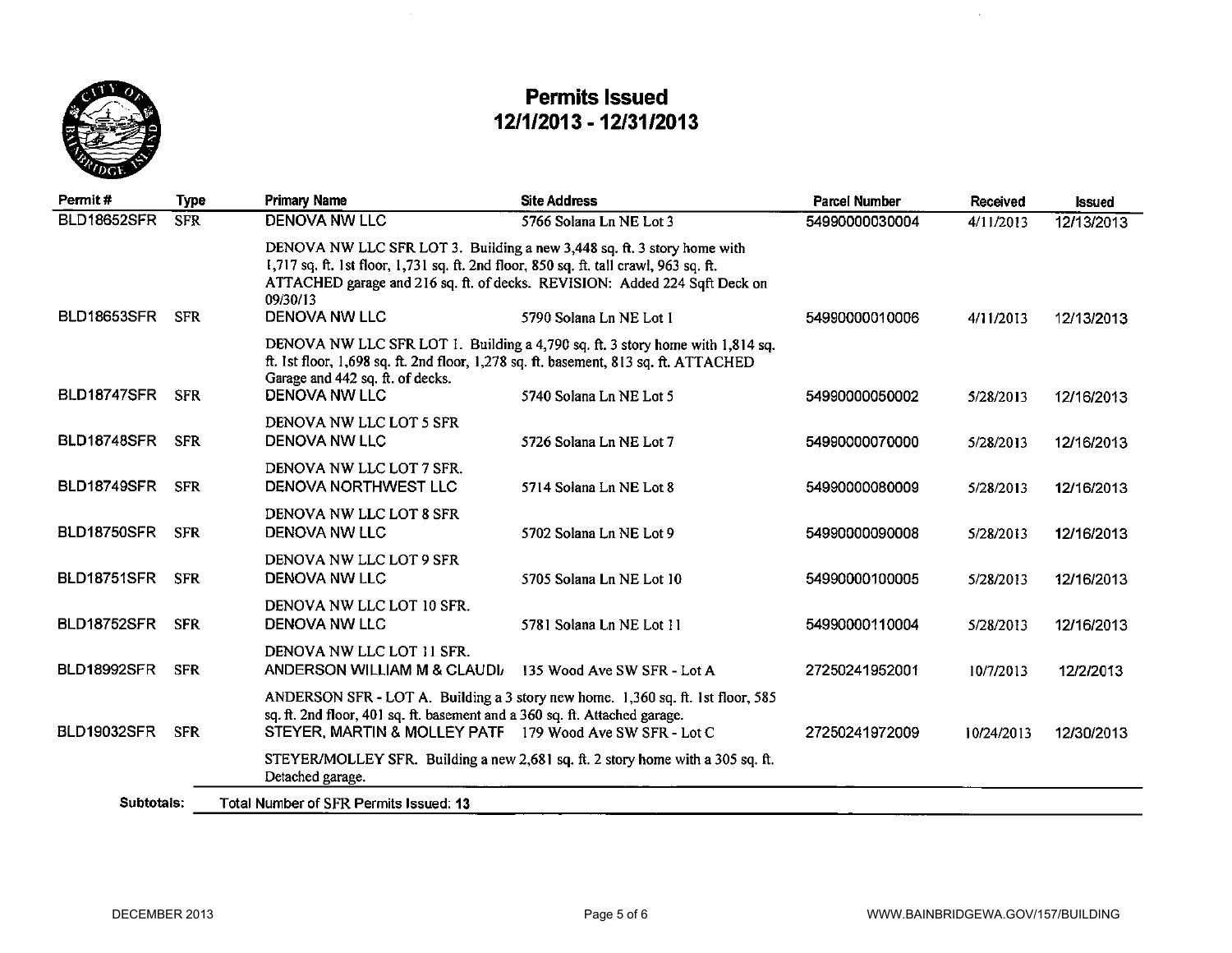

| Permit#            | <b>Type</b> | <b>Primary Name</b>                                                                                                                                                                                  | <b>Site Address</b>                                                                                   | <b>Parcel Number</b> | Received   | <b>Issued</b> |
|--------------------|-------------|------------------------------------------------------------------------------------------------------------------------------------------------------------------------------------------------------|-------------------------------------------------------------------------------------------------------|----------------------|------------|---------------|
| <b>BLD18652SFR</b> | <b>SFR</b>  | <b>DENOVA NW LLC</b>                                                                                                                                                                                 | 5766 Solana Ln NE Lot 3                                                                               | 54990000030004       | 4/11/2013  | 12/13/2013    |
| BLD18653SFR        | <b>SFR</b>  | DENOVA NW LLC SFR LOT 3. Building a new 3,448 sq. ft. 3 story home with<br>1,717 sq. ft. 1st floor, 1,731 sq. ft. 2nd floor, 850 sq. ft. tall crawl, 963 sq. ft.<br>09/30/13<br><b>DENOVA NW LLC</b> | ATTACHED garage and 216 sq. ft. of decks. REVISION: Added 224 Sqft Deck on<br>5790 Solana Ln NE Lot I | 54990000010006       | 4/11/2013  | 12/13/2013    |
|                    |             | ft. Ist floor, 1,698 sq. ft. 2nd floor, 1,278 sq. ft. basement, 813 sq. ft. ATTACHED<br>Garage and 442 sq. ft. of decks.                                                                             | DENOVA NW LLC SFR LOT 1. Building a 4,790 sq. ft. 3 story home with 1,814 sq.                         |                      |            |               |
| BLD18747SFR        | <b>SFR</b>  | <b>DENOVA NW LLC</b>                                                                                                                                                                                 | 5740 Solana Ln NE Lot 5                                                                               | 54990000050002       | 5/28/2013  | 12/16/2013    |
| BLD18748SFR        | <b>SFR</b>  | DENOVA NW LLC LOT 5 SFR<br>DENOVA NW LLC                                                                                                                                                             | 5726 Solana Ln NE Lot 7                                                                               | 54990000070000       | 5/28/2013  | 12/16/2013    |
| BLD18749SFR        | <b>SFR</b>  | DENOVA NW LLC LOT 7 SFR.<br>DENOVA NORTHWEST LLC                                                                                                                                                     | 5714 Solana Ln NE Lot 8                                                                               | 54990000080009       | 5/28/2013  | 12/16/2013    |
| <b>BLD18750SFR</b> | <b>SFR</b>  | DENOVA NW LLC LOT 8 SFR<br>DENOVA NW LLC                                                                                                                                                             | 5702 Solana Ln NE Lot 9                                                                               | 54990000090008       | 5/28/2013  | 12/16/2013    |
| BLD18751SFR        | <b>SFR</b>  | DENOVA NW LLC LOT 9 SFR<br><b>DENOVA NW LLC</b>                                                                                                                                                      | 5705 Solana Ln NE Lot 10                                                                              | 54990000100005       | 5/28/2013  | 12/16/2013    |
| <b>BLD18752SFR</b> | <b>SFR</b>  | DENOVA NW LLC LOT 10 SFR.<br><b>DENOVA NW LLC</b>                                                                                                                                                    | 5781 Solana Ln NE Lot 11                                                                              | 54990000110004       | 5/28/2013  | 12/16/2013    |
| BLD18992SFR        | <b>SFR</b>  | DENOVA NW LLC LOT 11 SFR.<br>ANDERSON WILLIAM M & CLAUDI                                                                                                                                             | 135 Wood Ave SW SFR - Lot A                                                                           | 27250241952001       | 10/7/2013  | 12/2/2013     |
| <b>BLD19032SFR</b> | <b>SFR</b>  | sq. ft. 2nd floor, 401 sq. ft. basement and a 360 sq. ft. Attached garage.<br>STEYER, MARTIN & MOLLEY PATF 179 Wood Ave SW SFR - Lot C                                                               | ANDERSON SFR - LOT A. Building a 3 story new home. 1,360 sq. ft. 1st floor, 585                       | 27250241972009       | 10/24/2013 | 12/30/2013    |
|                    |             | Detached garage.                                                                                                                                                                                     | STEYER/MOLLEY SFR. Building a new 2,681 sq. ft. 2 story home with a 305 sq. ft.                       |                      |            |               |
| Subtotals:         |             | Total Number of SFR Permits Issued: 13                                                                                                                                                               |                                                                                                       |                      |            |               |

 $\hat{\mathbf{r}}$